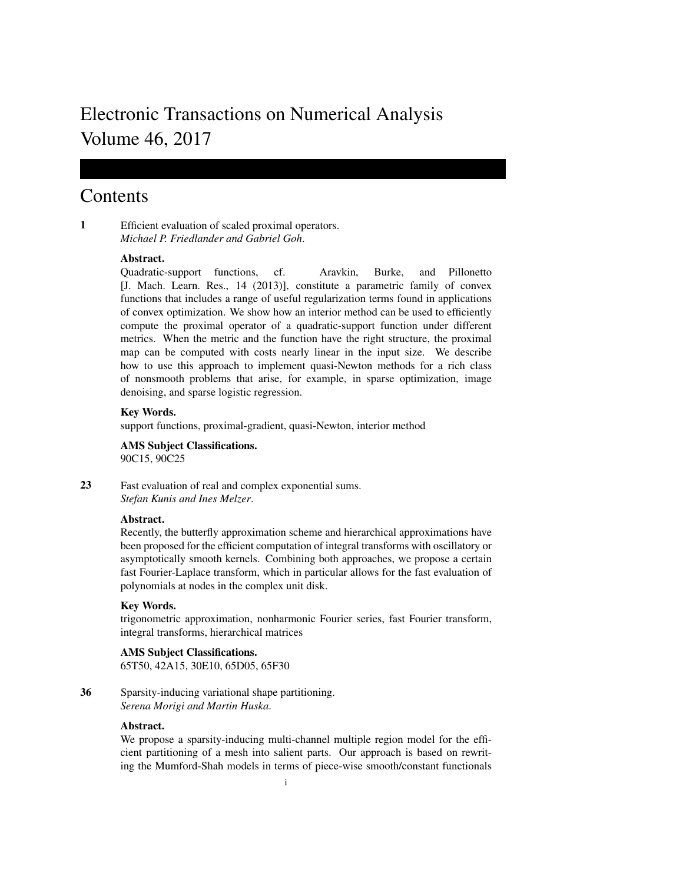# Electronic Transactions on Numerical Analysis Volume 46, 2017

## Contents

1 Efficient evaluation of scaled proximal operators. *Michael P. Friedlander and Gabriel Goh*.

## Abstract.

Quadratic-support functions, cf. Aravkin, Burke, and Pillonetto [J. Mach. Learn. Res., 14 (2013)], constitute a parametric family of convex functions that includes a range of useful regularization terms found in applications of convex optimization. We show how an interior method can be used to efficiently compute the proximal operator of a quadratic-support function under different metrics. When the metric and the function have the right structure, the proximal map can be computed with costs nearly linear in the input size. We describe how to use this approach to implement quasi-Newton methods for a rich class of nonsmooth problems that arise, for example, in sparse optimization, image denoising, and sparse logistic regression.

## Key Words.

support functions, proximal-gradient, quasi-Newton, interior method

AMS Subject Classifications. 90C15, 90C25

23 Fast evaluation of real and complex exponential sums. *Stefan Kunis and Ines Melzer*.

## Abstract.

Recently, the butterfly approximation scheme and hierarchical approximations have been proposed for the efficient computation of integral transforms with oscillatory or asymptotically smooth kernels. Combining both approaches, we propose a certain fast Fourier-Laplace transform, which in particular allows for the fast evaluation of polynomials at nodes in the complex unit disk.

## Key Words.

trigonometric approximation, nonharmonic Fourier series, fast Fourier transform, integral transforms, hierarchical matrices

## AMS Subject Classifications.

65T50, 42A15, 30E10, 65D05, 65F30

36 Sparsity-inducing variational shape partitioning. *Serena Morigi and Martin Huska*.

## Abstract.

We propose a sparsity-inducing multi-channel multiple region model for the efficient partitioning of a mesh into salient parts. Our approach is based on rewriting the Mumford-Shah models in terms of piece-wise smooth/constant functionals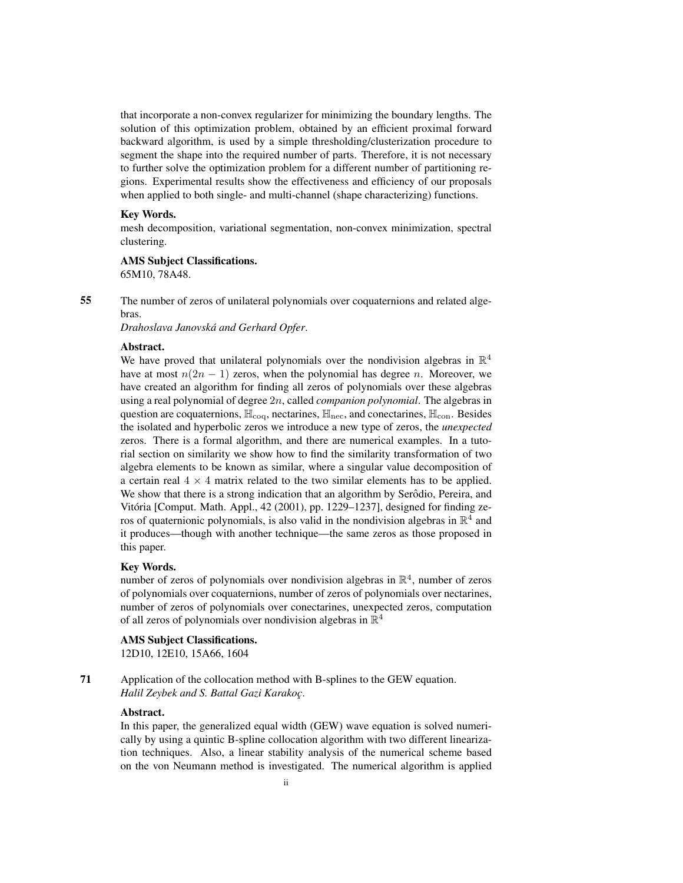that incorporate a non-convex regularizer for minimizing the boundary lengths. The solution of this optimization problem, obtained by an efficient proximal forward backward algorithm, is used by a simple thresholding/clusterization procedure to segment the shape into the required number of parts. Therefore, it is not necessary to further solve the optimization problem for a different number of partitioning regions. Experimental results show the effectiveness and efficiency of our proposals when applied to both single- and multi-channel (shape characterizing) functions.

## Key Words.

mesh decomposition, variational segmentation, non-convex minimization, spectral clustering.

## AMS Subject Classifications.

65M10, 78A48.

55 The number of zeros of unilateral polynomials over coquaternions and related algebras.

*Drahoslava Janovska and Gerhard Opfer ´* .

## Abstract.

We have proved that unilateral polynomials over the nondivision algebras in  $\mathbb{R}^4$ have at most  $n(2n - 1)$  zeros, when the polynomial has degree n. Moreover, we have created an algorithm for finding all zeros of polynomials over these algebras using a real polynomial of degree 2n, called *companion polynomial*. The algebras in question are coquaternions,  $\mathbb{H}_{\text{coq}}$ , nectarines,  $\mathbb{H}_{\text{nec}}$ , and conectarines,  $\mathbb{H}_{\text{con}}$ . Besides the isolated and hyperbolic zeros we introduce a new type of zeros, the *unexpected* zeros. There is a formal algorithm, and there are numerical examples. In a tutorial section on similarity we show how to find the similarity transformation of two algebra elements to be known as similar, where a singular value decomposition of a certain real  $4 \times 4$  matrix related to the two similar elements has to be applied. We show that there is a strong indication that an algorithm by Serôdio, Pereira, and Vitoria [Comput. Math. Appl., 42 (2001), pp. 1229–1237], designed for finding ze- ´ ros of quaternionic polynomials, is also valid in the nondivision algebras in  $\mathbb{R}^4$  and it produces—though with another technique—the same zeros as those proposed in this paper.

#### Key Words.

number of zeros of polynomials over nondivision algebras in  $\mathbb{R}^4$ , number of zeros of polynomials over coquaternions, number of zeros of polynomials over nectarines, number of zeros of polynomials over conectarines, unexpected zeros, computation of all zeros of polynomials over nondivision algebras in  $\mathbb{R}^4$ 

#### AMS Subject Classifications.

12D10, 12E10, 15A66, 1604

71 Application of the collocation method with B-splines to the GEW equation. *Halil Zeybek and S. Battal Gazi Karakoc¸*.

#### Abstract.

In this paper, the generalized equal width (GEW) wave equation is solved numerically by using a quintic B-spline collocation algorithm with two different linearization techniques. Also, a linear stability analysis of the numerical scheme based on the von Neumann method is investigated. The numerical algorithm is applied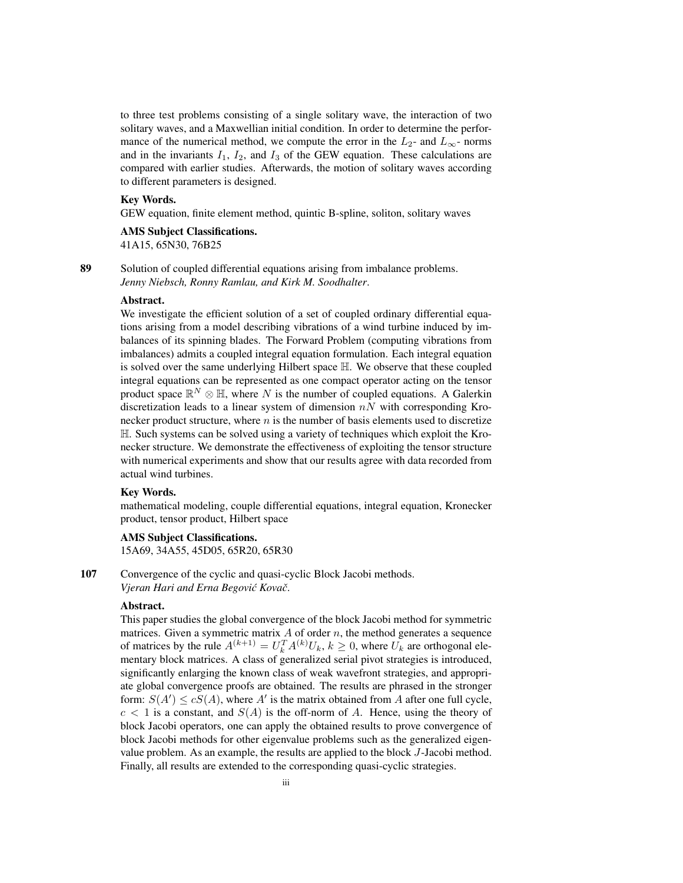to three test problems consisting of a single solitary wave, the interaction of two solitary waves, and a Maxwellian initial condition. In order to determine the performance of the numerical method, we compute the error in the  $L_2$ - and  $L_{\infty}$ - norms and in the invariants  $I_1$ ,  $I_2$ , and  $I_3$  of the GEW equation. These calculations are compared with earlier studies. Afterwards, the motion of solitary waves according to different parameters is designed.

## Key Words.

GEW equation, finite element method, quintic B-spline, soliton, solitary waves

#### AMS Subject Classifications.

41A15, 65N30, 76B25

89 Solution of coupled differential equations arising from imbalance problems. *Jenny Niebsch, Ronny Ramlau, and Kirk M. Soodhalter*.

#### Abstract.

We investigate the efficient solution of a set of coupled ordinary differential equations arising from a model describing vibrations of a wind turbine induced by imbalances of its spinning blades. The Forward Problem (computing vibrations from imbalances) admits a coupled integral equation formulation. Each integral equation is solved over the same underlying Hilbert space H. We observe that these coupled integral equations can be represented as one compact operator acting on the tensor product space  $\mathbb{R}^N \otimes \mathbb{H}$ , where N is the number of coupled equations. A Galerkin discretization leads to a linear system of dimension  $nN$  with corresponding Kronecker product structure, where  $n$  is the number of basis elements used to discretize H. Such systems can be solved using a variety of techniques which exploit the Kronecker structure. We demonstrate the effectiveness of exploiting the tensor structure with numerical experiments and show that our results agree with data recorded from actual wind turbines.

#### Key Words.

mathematical modeling, couple differential equations, integral equation, Kronecker product, tensor product, Hilbert space

## AMS Subject Classifications.

15A69, 34A55, 45D05, 65R20, 65R30

107 Convergence of the cyclic and quasi-cyclic Block Jacobi methods. *Vjeran Hari and Erna Begović Kovač.* 

## Abstract.

This paper studies the global convergence of the block Jacobi method for symmetric matrices. Given a symmetric matrix  $A$  of order  $n$ , the method generates a sequence of matrices by the rule  $A^{(k+1)} = U_k^T A^{(k)} U_k$ ,  $k \ge 0$ , where  $U_k$  are orthogonal elementary block matrices. A class of generalized serial pivot strategies is introduced, significantly enlarging the known class of weak wavefront strategies, and appropriate global convergence proofs are obtained. The results are phrased in the stronger form:  $S(A') \le cS(A)$ , where A' is the matrix obtained from A after one full cycle,  $c < 1$  is a constant, and  $S(A)$  is the off-norm of A. Hence, using the theory of block Jacobi operators, one can apply the obtained results to prove convergence of block Jacobi methods for other eigenvalue problems such as the generalized eigenvalue problem. As an example, the results are applied to the block J-Jacobi method. Finally, all results are extended to the corresponding quasi-cyclic strategies.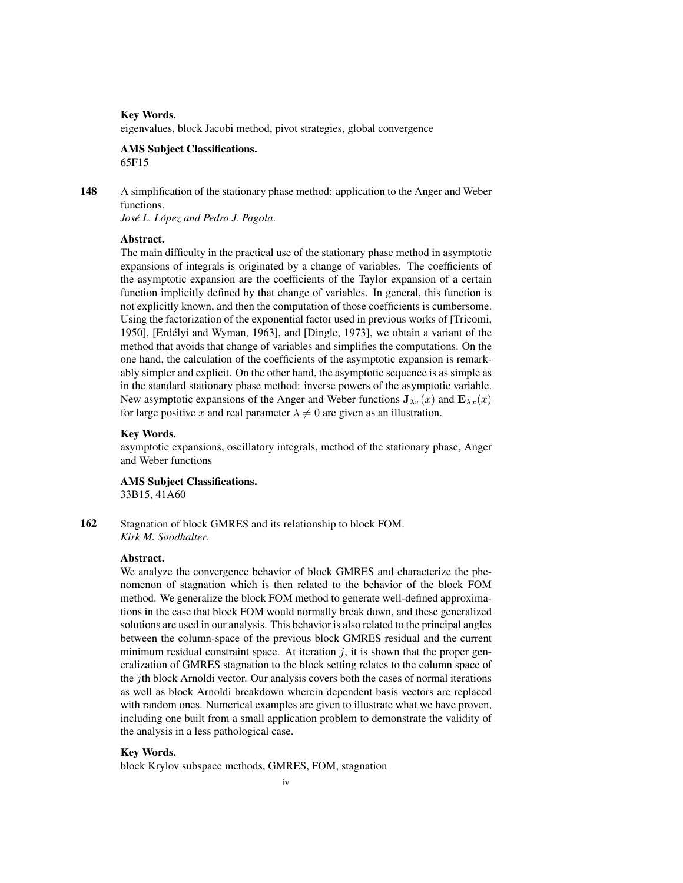#### Key Words.

eigenvalues, block Jacobi method, pivot strategies, global convergence

#### AMS Subject Classifications. 65F15

148 A simplification of the stationary phase method: application to the Anger and Weber functions.

*Jose L. L ´ opez and Pedro J. Pagola ´* .

## Abstract.

The main difficulty in the practical use of the stationary phase method in asymptotic expansions of integrals is originated by a change of variables. The coefficients of the asymptotic expansion are the coefficients of the Taylor expansion of a certain function implicitly defined by that change of variables. In general, this function is not explicitly known, and then the computation of those coefficients is cumbersome. Using the factorization of the exponential factor used in previous works of [Tricomi, 1950], [Erdelyi and Wyman, 1963], and [Dingle, 1973], we obtain a variant of the ´ method that avoids that change of variables and simplifies the computations. On the one hand, the calculation of the coefficients of the asymptotic expansion is remarkably simpler and explicit. On the other hand, the asymptotic sequence is as simple as in the standard stationary phase method: inverse powers of the asymptotic variable. New asymptotic expansions of the Anger and Weber functions  $J_{\lambda x}(x)$  and  $E_{\lambda x}(x)$ for large positive x and real parameter  $\lambda \neq 0$  are given as an illustration.

## Key Words.

asymptotic expansions, oscillatory integrals, method of the stationary phase, Anger and Weber functions

AMS Subject Classifications. 33B15, 41A60

162 Stagnation of block GMRES and its relationship to block FOM. *Kirk M. Soodhalter*.

#### Abstract.

We analyze the convergence behavior of block GMRES and characterize the phenomenon of stagnation which is then related to the behavior of the block FOM method. We generalize the block FOM method to generate well-defined approximations in the case that block FOM would normally break down, and these generalized solutions are used in our analysis. This behavior is also related to the principal angles between the column-space of the previous block GMRES residual and the current minimum residual constraint space. At iteration  $j$ , it is shown that the proper generalization of GMRES stagnation to the block setting relates to the column space of the jth block Arnoldi vector. Our analysis covers both the cases of normal iterations as well as block Arnoldi breakdown wherein dependent basis vectors are replaced with random ones. Numerical examples are given to illustrate what we have proven, including one built from a small application problem to demonstrate the validity of the analysis in a less pathological case.

#### Key Words.

block Krylov subspace methods, GMRES, FOM, stagnation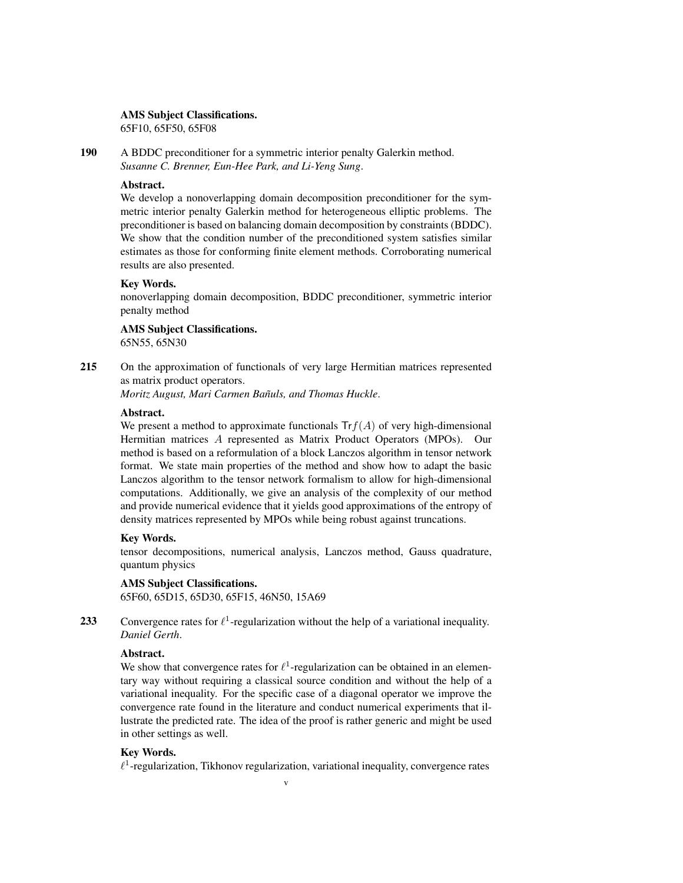#### AMS Subject Classifications.

65F10, 65F50, 65F08

190 A BDDC preconditioner for a symmetric interior penalty Galerkin method. *Susanne C. Brenner, Eun-Hee Park, and Li-Yeng Sung*.

## Abstract.

We develop a nonoverlapping domain decomposition preconditioner for the symmetric interior penalty Galerkin method for heterogeneous elliptic problems. The preconditioner is based on balancing domain decomposition by constraints (BDDC). We show that the condition number of the preconditioned system satisfies similar estimates as those for conforming finite element methods. Corroborating numerical results are also presented.

## Key Words.

nonoverlapping domain decomposition, BDDC preconditioner, symmetric interior penalty method

### AMS Subject Classifications. 65N55, 65N30

215 On the approximation of functionals of very large Hermitian matrices represented as matrix product operators.

*Moritz August, Mari Carmen Bañuls, and Thomas Huckle.* 

## Abstract.

We present a method to approximate functionals  $Tr f(A)$  of very high-dimensional Hermitian matrices A represented as Matrix Product Operators (MPOs). Our method is based on a reformulation of a block Lanczos algorithm in tensor network format. We state main properties of the method and show how to adapt the basic Lanczos algorithm to the tensor network formalism to allow for high-dimensional computations. Additionally, we give an analysis of the complexity of our method and provide numerical evidence that it yields good approximations of the entropy of density matrices represented by MPOs while being robust against truncations.

#### Key Words.

tensor decompositions, numerical analysis, Lanczos method, Gauss quadrature, quantum physics

## AMS Subject Classifications.

65F60, 65D15, 65D30, 65F15, 46N50, 15A69

233 Convergence rates for  $\ell^1$ -regularization without the help of a variational inequality. *Daniel Gerth*.

## Abstract.

We show that convergence rates for  $\ell^1$ -regularization can be obtained in an elementary way without requiring a classical source condition and without the help of a variational inequality. For the specific case of a diagonal operator we improve the convergence rate found in the literature and conduct numerical experiments that illustrate the predicted rate. The idea of the proof is rather generic and might be used in other settings as well.

## Key Words.

 $\ell^1$ -regularization, Tikhonov regularization, variational inequality, convergence rates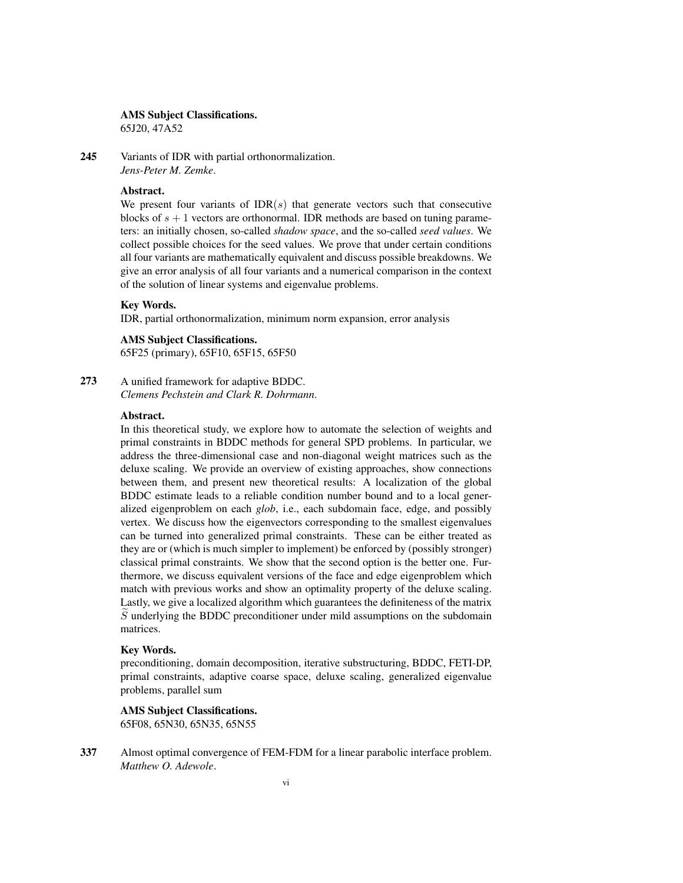#### AMS Subject Classifications.

65J20, 47A52

245 Variants of IDR with partial orthonormalization. *Jens-Peter M. Zemke*.

## Abstract.

We present four variants of  $IDR(s)$  that generate vectors such that consecutive blocks of  $s + 1$  vectors are orthonormal. IDR methods are based on tuning parameters: an initially chosen, so-called *shadow space*, and the so-called *seed values*. We collect possible choices for the seed values. We prove that under certain conditions all four variants are mathematically equivalent and discuss possible breakdowns. We give an error analysis of all four variants and a numerical comparison in the context of the solution of linear systems and eigenvalue problems.

#### Key Words.

IDR, partial orthonormalization, minimum norm expansion, error analysis

### AMS Subject Classifications.

65F25 (primary), 65F10, 65F15, 65F50

### 273 A unified framework for adaptive BDDC. *Clemens Pechstein and Clark R. Dohrmann*.

## Abstract.

In this theoretical study, we explore how to automate the selection of weights and primal constraints in BDDC methods for general SPD problems. In particular, we address the three-dimensional case and non-diagonal weight matrices such as the deluxe scaling. We provide an overview of existing approaches, show connections between them, and present new theoretical results: A localization of the global BDDC estimate leads to a reliable condition number bound and to a local generalized eigenproblem on each *glob*, i.e., each subdomain face, edge, and possibly vertex. We discuss how the eigenvectors corresponding to the smallest eigenvalues can be turned into generalized primal constraints. These can be either treated as they are or (which is much simpler to implement) be enforced by (possibly stronger) classical primal constraints. We show that the second option is the better one. Furthermore, we discuss equivalent versions of the face and edge eigenproblem which match with previous works and show an optimality property of the deluxe scaling. Lastly, we give a localized algorithm which guarantees the definiteness of the matrix  $\tilde{S}$  underlying the BDDC preconditioner under mild assumptions on the subdomain matrices.

#### Key Words.

preconditioning, domain decomposition, iterative substructuring, BDDC, FETI-DP, primal constraints, adaptive coarse space, deluxe scaling, generalized eigenvalue problems, parallel sum

## AMS Subject Classifications.

65F08, 65N30, 65N35, 65N55

337 Almost optimal convergence of FEM-FDM for a linear parabolic interface problem. *Matthew O. Adewole*.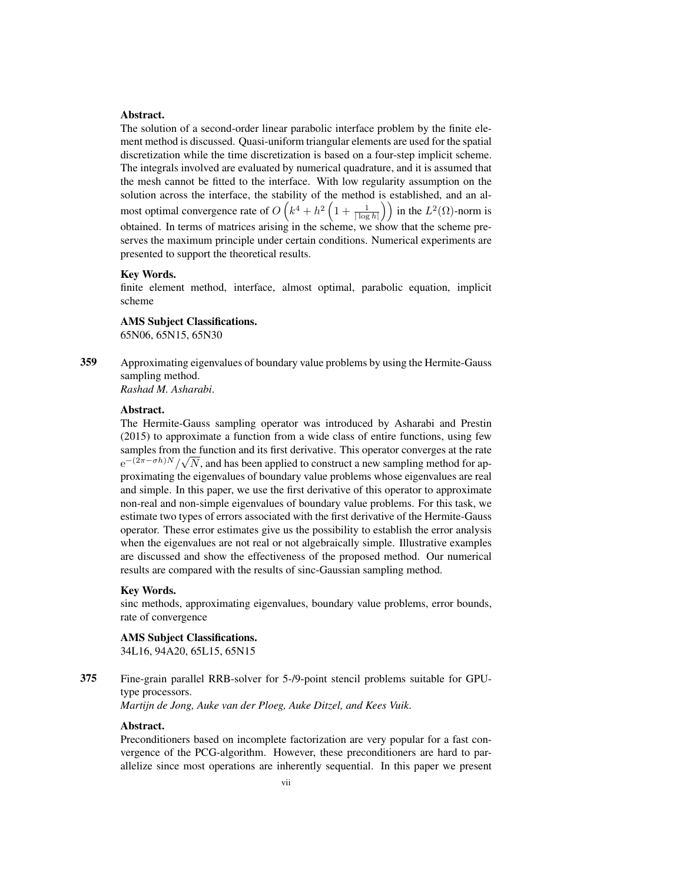#### Abstract.

The solution of a second-order linear parabolic interface problem by the finite element method is discussed. Quasi-uniform triangular elements are used for the spatial discretization while the time discretization is based on a four-step implicit scheme. The integrals involved are evaluated by numerical quadrature, and it is assumed that the mesh cannot be fitted to the interface. With low regularity assumption on the solution across the interface, the stability of the method is established, and an almost optimal convergence rate of  $O\left(k^4 + h^2\left(1 + \frac{1}{|\log h|}\right)\right)$  in the  $L^2(\Omega)$ -norm is obtained. In terms of matrices arising in the scheme, we show that the scheme preserves the maximum principle under certain conditions. Numerical experiments are presented to support the theoretical results.

#### Key Words.

finite element method, interface, almost optimal, parabolic equation, implicit scheme

#### AMS Subject Classifications.

65N06, 65N15, 65N30

359 Approximating eigenvalues of boundary value problems by using the Hermite-Gauss sampling method.

*Rashad M. Asharabi*.

## Abstract.

The Hermite-Gauss sampling operator was introduced by Asharabi and Prestin (2015) to approximate a function from a wide class of entire functions, using few samples from the function and its first derivative. This operator converges at the rate  $e^{-(2\pi - \sigma h)N}/\sqrt{N}$ , and has been applied to construct a new sampling method for approximating the eigenvalues of boundary value problems whose eigenvalues are real and simple. In this paper, we use the first derivative of this operator to approximate non-real and non-simple eigenvalues of boundary value problems. For this task, we estimate two types of errors associated with the first derivative of the Hermite-Gauss operator. These error estimates give us the possibility to establish the error analysis when the eigenvalues are not real or not algebraically simple. Illustrative examples are discussed and show the effectiveness of the proposed method. Our numerical results are compared with the results of sinc-Gaussian sampling method.

#### Key Words.

sinc methods, approximating eigenvalues, boundary value problems, error bounds, rate of convergence

#### AMS Subject Classifications.

34L16, 94A20, 65L15, 65N15

## 375 Fine-grain parallel RRB-solver for 5-/9-point stencil problems suitable for GPUtype processors.

*Martijn de Jong, Auke van der Ploeg, Auke Ditzel, and Kees Vuik*.

#### Abstract.

Preconditioners based on incomplete factorization are very popular for a fast convergence of the PCG-algorithm. However, these preconditioners are hard to parallelize since most operations are inherently sequential. In this paper we present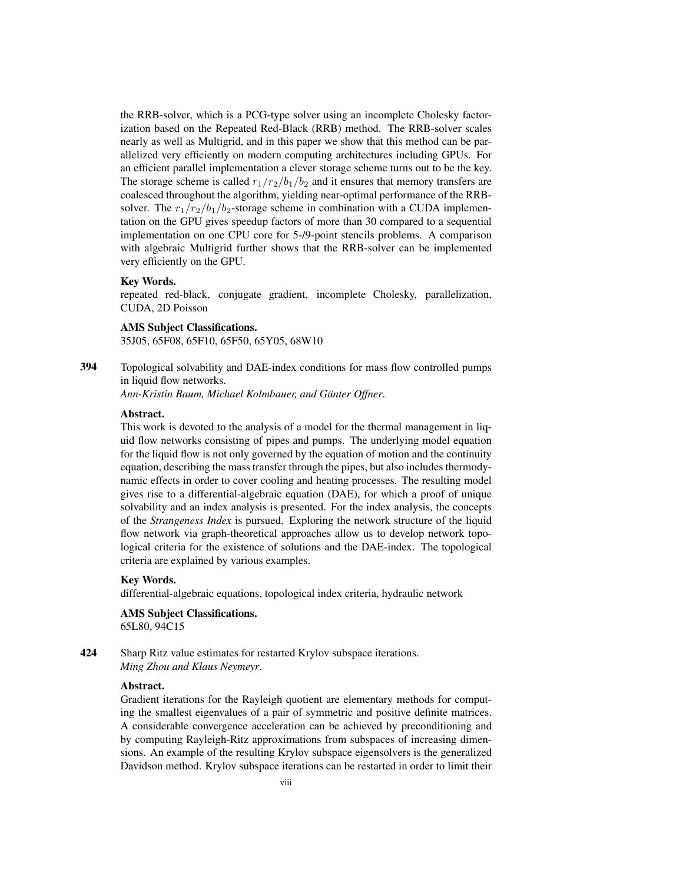the RRB-solver, which is a PCG-type solver using an incomplete Cholesky factorization based on the Repeated Red-Black (RRB) method. The RRB-solver scales nearly as well as Multigrid, and in this paper we show that this method can be parallelized very efficiently on modern computing architectures including GPUs. For an efficient parallel implementation a clever storage scheme turns out to be the key. The storage scheme is called  $r_1/r_2/b_1/b_2$  and it ensures that memory transfers are coalesced throughout the algorithm, yielding near-optimal performance of the RRBsolver. The  $r_1/r_2/b_1/b_2$ -storage scheme in combination with a CUDA implementation on the GPU gives speedup factors of more than 30 compared to a sequential implementation on one CPU core for 5-/9-point stencils problems. A comparison with algebraic Multigrid further shows that the RRB-solver can be implemented very efficiently on the GPU.

#### Key Words.

repeated red-black, conjugate gradient, incomplete Cholesky, parallelization, CUDA, 2D Poisson

#### AMS Subject Classifications.

35J05, 65F08, 65F10, 65F50, 65Y05, 68W10

394 Topological solvability and DAE-index conditions for mass flow controlled pumps in liquid flow networks.

*Ann-Kristin Baum, Michael Kolmbauer, and Gunter Offner ¨* .

#### Abstract.

This work is devoted to the analysis of a model for the thermal management in liquid flow networks consisting of pipes and pumps. The underlying model equation for the liquid flow is not only governed by the equation of motion and the continuity equation, describing the mass transfer through the pipes, but also includes thermodynamic effects in order to cover cooling and heating processes. The resulting model gives rise to a differential-algebraic equation (DAE), for which a proof of unique solvability and an index analysis is presented. For the index analysis, the concepts of the *Strangeness Index* is pursued. Exploring the network structure of the liquid flow network via graph-theoretical approaches allow us to develop network topological criteria for the existence of solutions and the DAE-index. The topological criteria are explained by various examples.

## Key Words.

differential-algebraic equations, topological index criteria, hydraulic network

### AMS Subject Classifications. 65L80, 94C15

424 Sharp Ritz value estimates for restarted Krylov subspace iterations. *Ming Zhou and Klaus Neymeyr*.

## Abstract.

Gradient iterations for the Rayleigh quotient are elementary methods for computing the smallest eigenvalues of a pair of symmetric and positive definite matrices. A considerable convergence acceleration can be achieved by preconditioning and by computing Rayleigh-Ritz approximations from subspaces of increasing dimensions. An example of the resulting Krylov subspace eigensolvers is the generalized Davidson method. Krylov subspace iterations can be restarted in order to limit their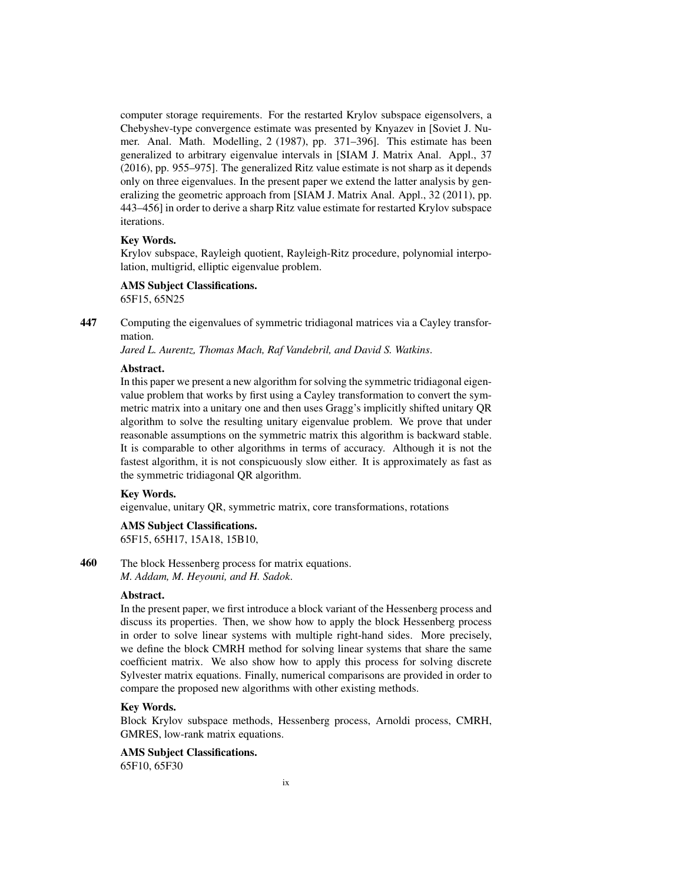computer storage requirements. For the restarted Krylov subspace eigensolvers, a Chebyshev-type convergence estimate was presented by Knyazev in [Soviet J. Numer. Anal. Math. Modelling, 2 (1987), pp. 371–396]. This estimate has been generalized to arbitrary eigenvalue intervals in [SIAM J. Matrix Anal. Appl., 37 (2016), pp. 955–975]. The generalized Ritz value estimate is not sharp as it depends only on three eigenvalues. In the present paper we extend the latter analysis by generalizing the geometric approach from [SIAM J. Matrix Anal. Appl., 32 (2011), pp. 443–456] in order to derive a sharp Ritz value estimate for restarted Krylov subspace iterations.

## Key Words.

Krylov subspace, Rayleigh quotient, Rayleigh-Ritz procedure, polynomial interpolation, multigrid, elliptic eigenvalue problem.

## AMS Subject Classifications.

65F15, 65N25

447 Computing the eigenvalues of symmetric tridiagonal matrices via a Cayley transformation.

*Jared L. Aurentz, Thomas Mach, Raf Vandebril, and David S. Watkins*.

## Abstract.

In this paper we present a new algorithm for solving the symmetric tridiagonal eigenvalue problem that works by first using a Cayley transformation to convert the symmetric matrix into a unitary one and then uses Gragg's implicitly shifted unitary QR algorithm to solve the resulting unitary eigenvalue problem. We prove that under reasonable assumptions on the symmetric matrix this algorithm is backward stable. It is comparable to other algorithms in terms of accuracy. Although it is not the fastest algorithm, it is not conspicuously slow either. It is approximately as fast as the symmetric tridiagonal QR algorithm.

## Key Words.

eigenvalue, unitary QR, symmetric matrix, core transformations, rotations

## AMS Subject Classifications.

65F15, 65H17, 15A18, 15B10,

460 The block Hessenberg process for matrix equations. *M. Addam, M. Heyouni, and H. Sadok*.

## Abstract.

In the present paper, we first introduce a block variant of the Hessenberg process and discuss its properties. Then, we show how to apply the block Hessenberg process in order to solve linear systems with multiple right-hand sides. More precisely, we define the block CMRH method for solving linear systems that share the same coefficient matrix. We also show how to apply this process for solving discrete Sylvester matrix equations. Finally, numerical comparisons are provided in order to compare the proposed new algorithms with other existing methods.

## Key Words.

Block Krylov subspace methods, Hessenberg process, Arnoldi process, CMRH, GMRES, low-rank matrix equations.

## AMS Subject Classifications.

65F10, 65F30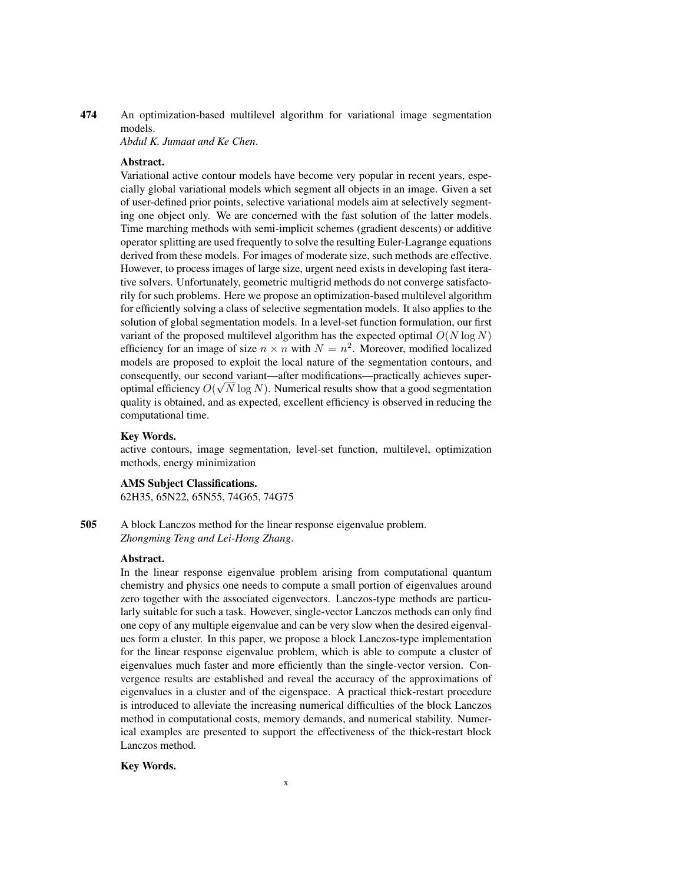474 An optimization-based multilevel algorithm for variational image segmentation models.

*Abdul K. Jumaat and Ke Chen*.

## Abstract.

Variational active contour models have become very popular in recent years, especially global variational models which segment all objects in an image. Given a set of user-defined prior points, selective variational models aim at selectively segmenting one object only. We are concerned with the fast solution of the latter models. Time marching methods with semi-implicit schemes (gradient descents) or additive operator splitting are used frequently to solve the resulting Euler-Lagrange equations derived from these models. For images of moderate size, such methods are effective. However, to process images of large size, urgent need exists in developing fast iterative solvers. Unfortunately, geometric multigrid methods do not converge satisfactorily for such problems. Here we propose an optimization-based multilevel algorithm for efficiently solving a class of selective segmentation models. It also applies to the solution of global segmentation models. In a level-set function formulation, our first variant of the proposed multilevel algorithm has the expected optimal  $O(N \log N)$ efficiency for an image of size  $n \times n$  with  $N = n^2$ . Moreover, modified localized models are proposed to exploit the local nature of the segmentation contours, and consequently, our second variant—after modifications—practically achieves superoptimal efficiency  $O(\sqrt{N} \log N)$ . Numerical results show that a good segmentation quality is obtained, and as expected, excellent efficiency is observed in reducing the computational time.

## Key Words.

active contours, image segmentation, level-set function, multilevel, optimization methods, energy minimization

## AMS Subject Classifications.

62H35, 65N22, 65N55, 74G65, 74G75

505 A block Lanczos method for the linear response eigenvalue problem. *Zhongming Teng and Lei-Hong Zhang*.

## Abstract.

In the linear response eigenvalue problem arising from computational quantum chemistry and physics one needs to compute a small portion of eigenvalues around zero together with the associated eigenvectors. Lanczos-type methods are particularly suitable for such a task. However, single-vector Lanczos methods can only find one copy of any multiple eigenvalue and can be very slow when the desired eigenvalues form a cluster. In this paper, we propose a block Lanczos-type implementation for the linear response eigenvalue problem, which is able to compute a cluster of eigenvalues much faster and more efficiently than the single-vector version. Convergence results are established and reveal the accuracy of the approximations of eigenvalues in a cluster and of the eigenspace. A practical thick-restart procedure is introduced to alleviate the increasing numerical difficulties of the block Lanczos method in computational costs, memory demands, and numerical stability. Numerical examples are presented to support the effectiveness of the thick-restart block Lanczos method.

## Key Words.